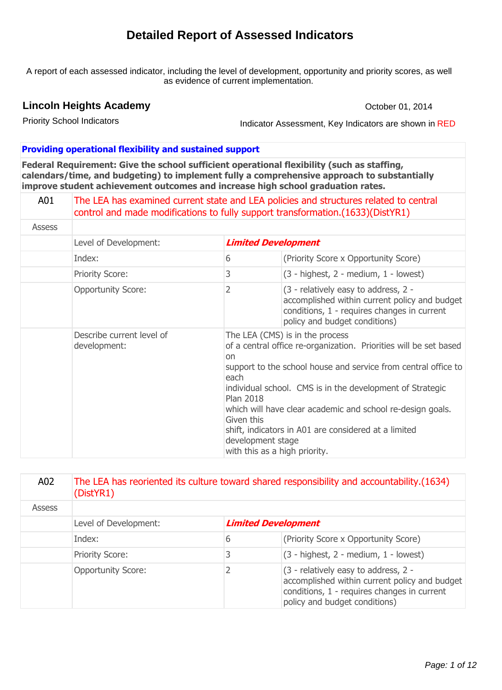# **Detailed Report of Assessed Indicators**

A report of each assessed indicator, including the level of development, opportunity and priority scores, as well as evidence of current implementation.

# **Lincoln Heights Academy**

October 01, 2014

Priority School Indicators

Indicator Assessment, Key Indicators are shown in RED

#### **Providing operational flexibility and sustained support**

**Federal Requirement: Give the school sufficient operational flexibility (such as staffing, calendars/time, and budgeting) to implement fully a comprehensive approach to substantially improve student achievement outcomes and increase high school graduation rates.**

| A01    | The LEA has examined current state and LEA policies and structures related to central<br>control and made modifications to fully support transformation. (1633) (DistYR1) |                                                     |                                                                                                                                                                                                                                                                                                                                                                                                                 |
|--------|---------------------------------------------------------------------------------------------------------------------------------------------------------------------------|-----------------------------------------------------|-----------------------------------------------------------------------------------------------------------------------------------------------------------------------------------------------------------------------------------------------------------------------------------------------------------------------------------------------------------------------------------------------------------------|
| Assess |                                                                                                                                                                           |                                                     |                                                                                                                                                                                                                                                                                                                                                                                                                 |
|        | Level of Development:                                                                                                                                                     |                                                     | <b>Limited Development</b>                                                                                                                                                                                                                                                                                                                                                                                      |
|        | Index:                                                                                                                                                                    | 6                                                   | (Priority Score x Opportunity Score)                                                                                                                                                                                                                                                                                                                                                                            |
|        | <b>Priority Score:</b>                                                                                                                                                    | 3                                                   | $(3 - highest, 2 - medium, 1 - lowest)$                                                                                                                                                                                                                                                                                                                                                                         |
|        | <b>Opportunity Score:</b>                                                                                                                                                 | 2                                                   | (3 - relatively easy to address, 2 -<br>accomplished within current policy and budget<br>conditions, 1 - requires changes in current<br>policy and budget conditions)                                                                                                                                                                                                                                           |
|        | Describe current level of<br>development:                                                                                                                                 | <b>on</b><br>each<br><b>Plan 2018</b><br>Given this | The LEA (CMS) is in the process<br>of a central office re-organization. Priorities will be set based<br>support to the school house and service from central office to<br>individual school. CMS is in the development of Strategic<br>which will have clear academic and school re-design goals.<br>shift, indicators in A01 are considered at a limited<br>development stage<br>with this as a high priority. |

| A02    | The LEA has reoriented its culture toward shared responsibility and accountability. (1634)<br>(DistYR1) |   |                                                                                                                                                                       |
|--------|---------------------------------------------------------------------------------------------------------|---|-----------------------------------------------------------------------------------------------------------------------------------------------------------------------|
| Assess |                                                                                                         |   |                                                                                                                                                                       |
|        | Level of Development:                                                                                   |   | <b>Limited Development</b>                                                                                                                                            |
|        | Index:                                                                                                  | 6 | (Priority Score x Opportunity Score)                                                                                                                                  |
|        | <b>Priority Score:</b>                                                                                  | 3 | (3 - highest, 2 - medium, 1 - lowest)                                                                                                                                 |
|        | <b>Opportunity Score:</b>                                                                               |   | (3 - relatively easy to address, 2 -<br>accomplished within current policy and budget<br>conditions, 1 - requires changes in current<br>policy and budget conditions) |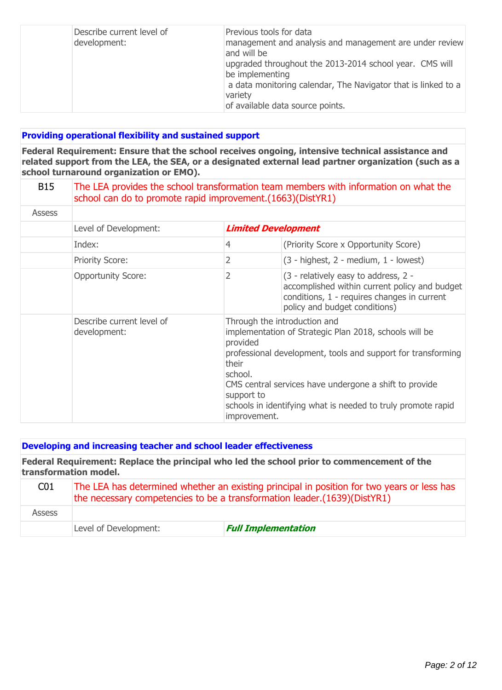| Describe current level of<br>development: | Previous tools for data<br>management and analysis and management are under review<br>and will be<br>upgraded throughout the 2013-2014 school year. CMS will<br>be implementing<br>a data monitoring calendar, The Navigator that is linked to a<br>variety<br>of available data source points. |
|-------------------------------------------|-------------------------------------------------------------------------------------------------------------------------------------------------------------------------------------------------------------------------------------------------------------------------------------------------|
|-------------------------------------------|-------------------------------------------------------------------------------------------------------------------------------------------------------------------------------------------------------------------------------------------------------------------------------------------------|

### **Providing operational flexibility and sustained support**

**Federal Requirement: Ensure that the school receives ongoing, intensive technical assistance and related support from the LEA, the SEA, or a designated external lead partner organization (such as a school turnaround organization or EMO).**

| <b>B15</b>    | The LEA provides the school transformation team members with information on what the<br>school can do to promote rapid improvement. (1663) (DistYR1) |                                                            |                                                                                                                                                                                                                                                                                  |
|---------------|------------------------------------------------------------------------------------------------------------------------------------------------------|------------------------------------------------------------|----------------------------------------------------------------------------------------------------------------------------------------------------------------------------------------------------------------------------------------------------------------------------------|
| <b>Assess</b> |                                                                                                                                                      |                                                            |                                                                                                                                                                                                                                                                                  |
|               | Level of Development:                                                                                                                                |                                                            | <b>Limited Development</b>                                                                                                                                                                                                                                                       |
|               | Index:                                                                                                                                               | 4                                                          | (Priority Score x Opportunity Score)                                                                                                                                                                                                                                             |
|               | <b>Priority Score:</b>                                                                                                                               | 2                                                          | (3 - highest, 2 - medium, 1 - lowest)                                                                                                                                                                                                                                            |
|               | <b>Opportunity Score:</b>                                                                                                                            | 2                                                          | (3 - relatively easy to address, 2 -<br>accomplished within current policy and budget<br>conditions, 1 - requires changes in current<br>policy and budget conditions)                                                                                                            |
|               | Describe current level of<br>development:                                                                                                            | provided<br>their<br>school.<br>support to<br>improvement. | Through the introduction and<br>implementation of Strategic Plan 2018, schools will be<br>professional development, tools and support for transforming<br>CMS central services have undergone a shift to provide<br>schools in identifying what is needed to truly promote rapid |

### **Developing and increasing teacher and school leader effectiveness**

**Federal Requirement: Replace the principal who led the school prior to commencement of the transformation model.**

| C01           | The LEA has determined whether an existing principal in position for two years or less has<br>the necessary competencies to be a transformation leader. (1639) (DistYR1) |                            |  |
|---------------|--------------------------------------------------------------------------------------------------------------------------------------------------------------------------|----------------------------|--|
| <b>Assess</b> |                                                                                                                                                                          |                            |  |
|               | Level of Development:                                                                                                                                                    | <b>Full Implementation</b> |  |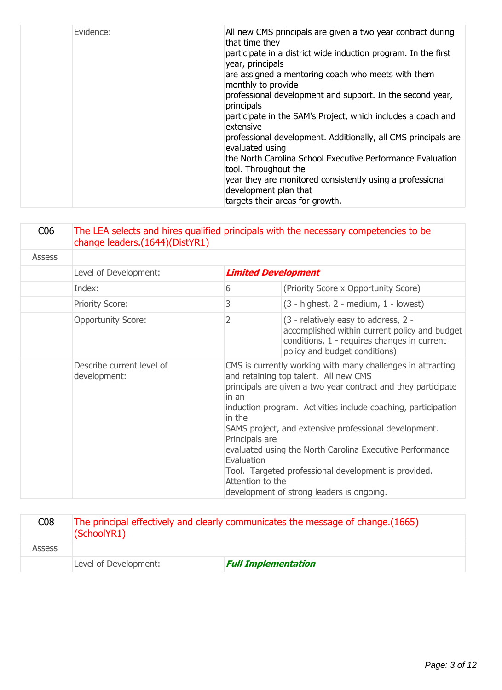| Evidence: | that time they<br>participate in a district wide induction program. In the first<br>year, principals<br>are assigned a mentoring coach who meets with them<br>monthly to provide<br>professional development and support. In the second year,<br>principals<br>participate in the SAM's Project, which includes a coach and<br>extensive<br>professional development. Additionally, all CMS principals are<br>evaluated using<br>the North Carolina School Executive Performance Evaluation<br>tool. Throughout the<br>year they are monitored consistently using a professional<br>development plan that<br>targets their areas for growth. |
|-----------|----------------------------------------------------------------------------------------------------------------------------------------------------------------------------------------------------------------------------------------------------------------------------------------------------------------------------------------------------------------------------------------------------------------------------------------------------------------------------------------------------------------------------------------------------------------------------------------------------------------------------------------------|
|-----------|----------------------------------------------------------------------------------------------------------------------------------------------------------------------------------------------------------------------------------------------------------------------------------------------------------------------------------------------------------------------------------------------------------------------------------------------------------------------------------------------------------------------------------------------------------------------------------------------------------------------------------------------|

| C <sub>06</sub> | The LEA selects and hires qualified principals with the necessary competencies to be<br>change leaders.(1644)(DistYR1) |                                                                     |                                                                                                                                                                                                                                                                                                                                                                                                                                                                  |
|-----------------|------------------------------------------------------------------------------------------------------------------------|---------------------------------------------------------------------|------------------------------------------------------------------------------------------------------------------------------------------------------------------------------------------------------------------------------------------------------------------------------------------------------------------------------------------------------------------------------------------------------------------------------------------------------------------|
| <b>Assess</b>   |                                                                                                                        |                                                                     |                                                                                                                                                                                                                                                                                                                                                                                                                                                                  |
|                 | Level of Development:                                                                                                  |                                                                     | <b>Limited Development</b>                                                                                                                                                                                                                                                                                                                                                                                                                                       |
|                 | Index:                                                                                                                 | 6                                                                   | (Priority Score x Opportunity Score)                                                                                                                                                                                                                                                                                                                                                                                                                             |
|                 | <b>Priority Score:</b>                                                                                                 | 3                                                                   | $(3 - highest, 2 - medium, 1 - lowest)$                                                                                                                                                                                                                                                                                                                                                                                                                          |
|                 | <b>Opportunity Score:</b>                                                                                              | 2                                                                   | (3 - relatively easy to address, 2 -<br>accomplished within current policy and budget<br>conditions, 1 - requires changes in current<br>policy and budget conditions)                                                                                                                                                                                                                                                                                            |
|                 | Describe current level of<br>development:                                                                              | in an<br>in the<br>Principals are<br>Evaluation<br>Attention to the | CMS is currently working with many challenges in attracting<br>and retaining top talent. All new CMS<br>principals are given a two year contract and they participate<br>induction program. Activities include coaching, participation<br>SAMS project, and extensive professional development.<br>evaluated using the North Carolina Executive Performance<br>Tool. Targeted professional development is provided.<br>development of strong leaders is ongoing. |

| C08           | The principal effectively and clearly communicates the message of change. (1665)<br>(SchoolYR1) |                            |  |
|---------------|-------------------------------------------------------------------------------------------------|----------------------------|--|
| <b>Assess</b> |                                                                                                 |                            |  |
|               | Level of Development:                                                                           | <b>Full Implementation</b> |  |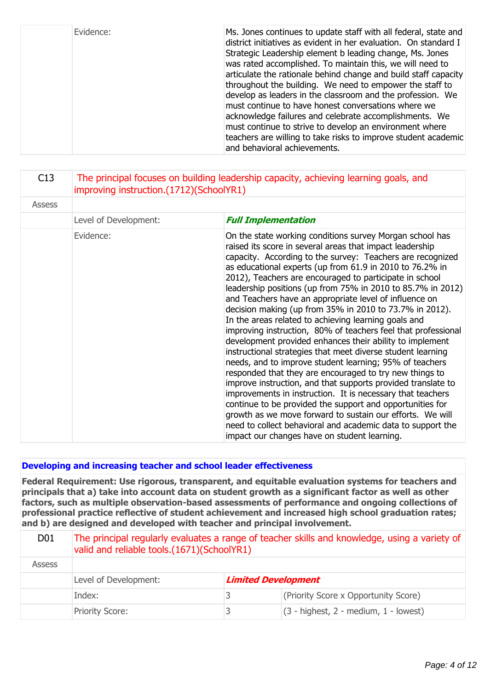| Evidence: | Ms. Jones continues to update staff with all federal, state and<br>district initiatives as evident in her evaluation. On standard I<br>Strategic Leadership element b leading change, Ms. Jones<br>was rated accomplished. To maintain this, we will need to<br>articulate the rationale behind change and build staff capacity<br>throughout the building. We need to empower the staff to<br>develop as leaders in the classroom and the profession. We<br>must continue to have honest conversations where we<br>acknowledge failures and celebrate accomplishments. We<br>must continue to strive to develop an environment where |
|-----------|---------------------------------------------------------------------------------------------------------------------------------------------------------------------------------------------------------------------------------------------------------------------------------------------------------------------------------------------------------------------------------------------------------------------------------------------------------------------------------------------------------------------------------------------------------------------------------------------------------------------------------------|
|           | teachers are willing to take risks to improve student academic<br>and behavioral achievements.                                                                                                                                                                                                                                                                                                                                                                                                                                                                                                                                        |

| C13           | The principal focuses on building leadership capacity, achieving learning goals, and<br>improving instruction.(1712)(SchoolYR1) |                                                                                                                                                                                                                                                                                                                                                                                                                                                                                                                                                                                                                                                                                                                                                                                                                                                                                                                                                                                                                                                                                                                                                                                                                                                |  |
|---------------|---------------------------------------------------------------------------------------------------------------------------------|------------------------------------------------------------------------------------------------------------------------------------------------------------------------------------------------------------------------------------------------------------------------------------------------------------------------------------------------------------------------------------------------------------------------------------------------------------------------------------------------------------------------------------------------------------------------------------------------------------------------------------------------------------------------------------------------------------------------------------------------------------------------------------------------------------------------------------------------------------------------------------------------------------------------------------------------------------------------------------------------------------------------------------------------------------------------------------------------------------------------------------------------------------------------------------------------------------------------------------------------|--|
| <b>Assess</b> |                                                                                                                                 |                                                                                                                                                                                                                                                                                                                                                                                                                                                                                                                                                                                                                                                                                                                                                                                                                                                                                                                                                                                                                                                                                                                                                                                                                                                |  |
|               | Level of Development:                                                                                                           | <b>Full Implementation</b>                                                                                                                                                                                                                                                                                                                                                                                                                                                                                                                                                                                                                                                                                                                                                                                                                                                                                                                                                                                                                                                                                                                                                                                                                     |  |
|               | Evidence:                                                                                                                       | On the state working conditions survey Morgan school has<br>raised its score in several areas that impact leadership<br>capacity. According to the survey: Teachers are recognized<br>as educational experts (up from 61.9 in 2010 to 76.2% in<br>2012), Teachers are encouraged to participate in school<br>leadership positions (up from 75% in 2010 to 85.7% in 2012)<br>and Teachers have an appropriate level of influence on<br>decision making (up from 35% in 2010 to 73.7% in 2012).<br>In the areas related to achieving learning goals and<br>improving instruction, 80% of teachers feel that professional<br>development provided enhances their ability to implement<br>instructional strategies that meet diverse student learning<br>needs, and to improve student learning; 95% of teachers<br>responded that they are encouraged to try new things to<br>improve instruction, and that supports provided translate to<br>improvements in instruction. It is necessary that teachers<br>continue to be provided the support and opportunities for<br>growth as we move forward to sustain our efforts. We will<br>need to collect behavioral and academic data to support the<br>impact our changes have on student learning. |  |

#### **Developing and increasing teacher and school leader effectiveness**

**Federal Requirement: Use rigorous, transparent, and equitable evaluation systems for teachers and principals that a) take into account data on student growth as a significant factor as well as other factors, such as multiple observation-based assessments of performance and ongoing collections of professional practice reflective of student achievement and increased high school graduation rates; and b) are designed and developed with teacher and principal involvement.**

| D <sub>0</sub> 1 | The principal regularly evaluates a range of teacher skills and knowledge, using a variety of<br>valid and reliable tools.(1671)(SchoolYR1) |  |                                         |
|------------------|---------------------------------------------------------------------------------------------------------------------------------------------|--|-----------------------------------------|
| Assess           |                                                                                                                                             |  |                                         |
|                  | <b>Limited Development</b><br>Level of Development:                                                                                         |  |                                         |
|                  | Index:                                                                                                                                      |  | (Priority Score x Opportunity Score)    |
|                  | <b>Priority Score:</b>                                                                                                                      |  | $(3 - highest, 2 - medium, 1 - lowest)$ |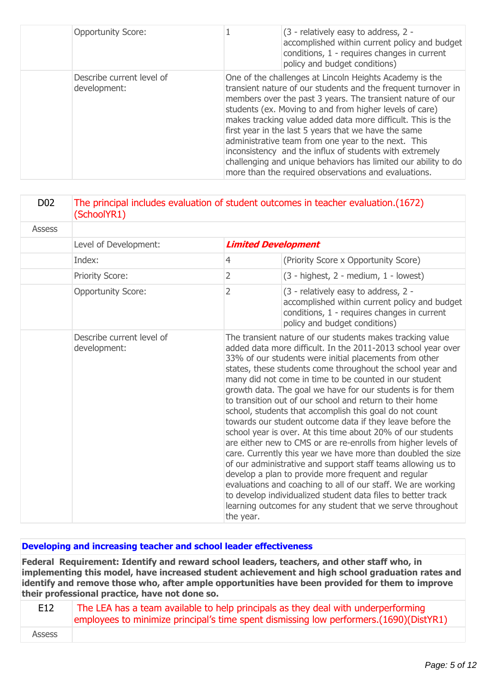| <b>Opportunity Score:</b>                 | (3 - relatively easy to address, 2 -<br>accomplished within current policy and budget<br>conditions, 1 - requires changes in current<br>policy and budget conditions)                                                                                                                                                                                                                                                                                                                                                                                                                                                |
|-------------------------------------------|----------------------------------------------------------------------------------------------------------------------------------------------------------------------------------------------------------------------------------------------------------------------------------------------------------------------------------------------------------------------------------------------------------------------------------------------------------------------------------------------------------------------------------------------------------------------------------------------------------------------|
| Describe current level of<br>development: | One of the challenges at Lincoln Heights Academy is the<br>transient nature of our students and the frequent turnover in<br>members over the past 3 years. The transient nature of our<br>students (ex. Moving to and from higher levels of care)<br>makes tracking value added data more difficult. This is the<br>first year in the last 5 years that we have the same<br>administrative team from one year to the next. This<br>inconsistency and the influx of students with extremely<br>challenging and unique behaviors has limited our ability to do<br>more than the required observations and evaluations. |

| D <sub>0</sub> 2 | The principal includes evaluation of student outcomes in teacher evaluation.(1672)<br>(SchoolYR1) |                                                                                                                                                                                                                                                                                                                                                                                                                                                                                                                                                                                                                                                                                                                                                                                                                                                                                                                                                                                                                                                                                    |                                                                                                                                                                       |
|------------------|---------------------------------------------------------------------------------------------------|------------------------------------------------------------------------------------------------------------------------------------------------------------------------------------------------------------------------------------------------------------------------------------------------------------------------------------------------------------------------------------------------------------------------------------------------------------------------------------------------------------------------------------------------------------------------------------------------------------------------------------------------------------------------------------------------------------------------------------------------------------------------------------------------------------------------------------------------------------------------------------------------------------------------------------------------------------------------------------------------------------------------------------------------------------------------------------|-----------------------------------------------------------------------------------------------------------------------------------------------------------------------|
| <b>Assess</b>    |                                                                                                   |                                                                                                                                                                                                                                                                                                                                                                                                                                                                                                                                                                                                                                                                                                                                                                                                                                                                                                                                                                                                                                                                                    |                                                                                                                                                                       |
|                  | Level of Development:                                                                             |                                                                                                                                                                                                                                                                                                                                                                                                                                                                                                                                                                                                                                                                                                                                                                                                                                                                                                                                                                                                                                                                                    | <b>Limited Development</b>                                                                                                                                            |
|                  | Index:                                                                                            | $\overline{4}$                                                                                                                                                                                                                                                                                                                                                                                                                                                                                                                                                                                                                                                                                                                                                                                                                                                                                                                                                                                                                                                                     | (Priority Score x Opportunity Score)                                                                                                                                  |
|                  | Priority Score:                                                                                   | $\overline{2}$                                                                                                                                                                                                                                                                                                                                                                                                                                                                                                                                                                                                                                                                                                                                                                                                                                                                                                                                                                                                                                                                     | $(3 - highest, 2 - medium, 1 - lowest)$                                                                                                                               |
|                  | <b>Opportunity Score:</b>                                                                         | 2                                                                                                                                                                                                                                                                                                                                                                                                                                                                                                                                                                                                                                                                                                                                                                                                                                                                                                                                                                                                                                                                                  | (3 - relatively easy to address, 2 -<br>accomplished within current policy and budget<br>conditions, 1 - requires changes in current<br>policy and budget conditions) |
|                  | Describe current level of<br>development:                                                         | The transient nature of our students makes tracking value<br>added data more difficult. In the 2011-2013 school year over<br>33% of our students were initial placements from other<br>states, these students come throughout the school year and<br>many did not come in time to be counted in our student<br>growth data. The goal we have for our students is for them<br>to transition out of our school and return to their home<br>school, students that accomplish this goal do not count<br>towards our student outcome data if they leave before the<br>school year is over. At this time about 20% of our students<br>are either new to CMS or are re-enrolls from higher levels of<br>care. Currently this year we have more than doubled the size<br>of our administrative and support staff teams allowing us to<br>develop a plan to provide more frequent and regular<br>evaluations and coaching to all of our staff. We are working<br>to develop individualized student data files to better track<br>learning outcomes for any student that we serve throughout |                                                                                                                                                                       |

#### **Developing and increasing teacher and school leader effectiveness**

**Federal Requirement: Identify and reward school leaders, teachers, and other staff who, in implementing this model, have increased student achievement and high school graduation rates and identify and remove those who, after ample opportunities have been provided for them to improve their professional practice, have not done so.**

| E12    | The LEA has a team available to help principals as they deal with underperforming        |
|--------|------------------------------------------------------------------------------------------|
|        | employees to minimize principal's time spent dismissing low performers. (1690) (DistYR1) |
| Assess |                                                                                          |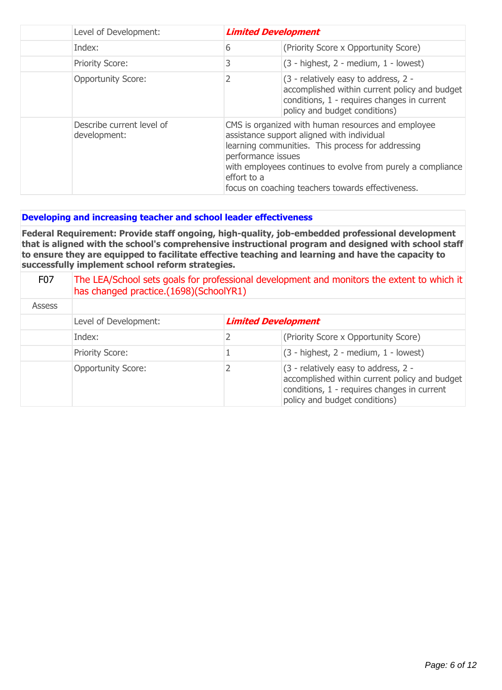| Level of Development:                     | <b>Limited Development</b>                                                                                                                                                                                                                                                                                     |                                                                                                                                                                       |
|-------------------------------------------|----------------------------------------------------------------------------------------------------------------------------------------------------------------------------------------------------------------------------------------------------------------------------------------------------------------|-----------------------------------------------------------------------------------------------------------------------------------------------------------------------|
| Index:                                    | 6                                                                                                                                                                                                                                                                                                              | (Priority Score x Opportunity Score)                                                                                                                                  |
| <b>Priority Score:</b>                    | 3                                                                                                                                                                                                                                                                                                              | $(3 - highest, 2 - medium, 1 - lowest)$                                                                                                                               |
| <b>Opportunity Score:</b>                 |                                                                                                                                                                                                                                                                                                                | (3 - relatively easy to address, 2 -<br>accomplished within current policy and budget<br>conditions, 1 - requires changes in current<br>policy and budget conditions) |
| Describe current level of<br>development: | CMS is organized with human resources and employee<br>assistance support aligned with individual<br>learning communities. This process for addressing<br>performance issues<br>with employees continues to evolve from purely a compliance<br>effort to a<br>focus on coaching teachers towards effectiveness. |                                                                                                                                                                       |

### **Developing and increasing teacher and school leader effectiveness**

**Federal Requirement: Provide staff ongoing, high-quality, job-embedded professional development that is aligned with the school's comprehensive instructional program and designed with school staff to ensure they are equipped to facilitate effective teaching and learning and have the capacity to successfully implement school reform strategies.**

| F <sub>0</sub> 7 | The LEA/School sets goals for professional development and monitors the extent to which it<br>has changed practice.(1698)(SchoolYR1) |   |                                                                                                                                                                       |
|------------------|--------------------------------------------------------------------------------------------------------------------------------------|---|-----------------------------------------------------------------------------------------------------------------------------------------------------------------------|
| <b>Assess</b>    |                                                                                                                                      |   |                                                                                                                                                                       |
|                  | Level of Development:                                                                                                                |   | <b>Limited Development</b>                                                                                                                                            |
|                  | Index:                                                                                                                               | 2 | (Priority Score x Opportunity Score)                                                                                                                                  |
|                  | <b>Priority Score:</b>                                                                                                               |   | $(3 - highest, 2 - medium, 1 - lowest)$                                                                                                                               |
|                  | <b>Opportunity Score:</b>                                                                                                            |   | (3 - relatively easy to address, 2 -<br>accomplished within current policy and budget<br>conditions, 1 - requires changes in current<br>policy and budget conditions) |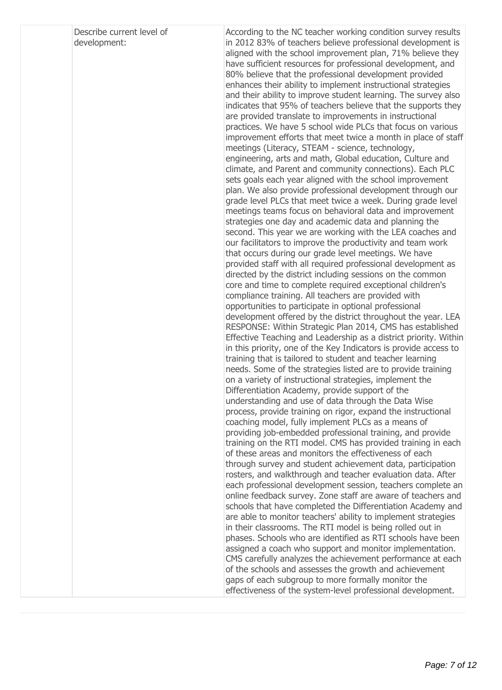| Describe current level of |  |
|---------------------------|--|
| development:              |  |

According to the NC teacher working condition survey results in 2012 83% of teachers believe professional development is aligned with the school improvement plan, 71% believe they have sufficient resources for professional development, and 80% believe that the professional development provided enhances their ability to implement instructional strategies and their ability to improve student learning. The survey also indicates that 95% of teachers believe that the supports they are provided translate to improvements in instructional practices. We have 5 school wide PLCs that focus on various improvement efforts that meet twice a month in place of staff meetings (Literacy, STEAM - science, technology, engineering, arts and math, Global education, Culture and climate, and Parent and community connections). Each PLC sets goals each year aligned with the school improvement plan. We also provide professional development through our grade level PLCs that meet twice a week. During grade level meetings teams focus on behavioral data and improvement strategies one day and academic data and planning the second. This year we are working with the LEA coaches and our facilitators to improve the productivity and team work that occurs during our grade level meetings. We have provided staff with all required professional development as directed by the district including sessions on the common core and time to complete required exceptional children's compliance training. All teachers are provided with opportunities to participate in optional professional development offered by the district throughout the year. LEA RESPONSE: Within Strategic Plan 2014, CMS has established Effective Teaching and Leadership as a district priority. Within in this priority, one of the Key Indicators is provide access to training that is tailored to student and teacher learning needs. Some of the strategies listed are to provide training on a variety of instructional strategies, implement the Differentiation Academy, provide support of the understanding and use of data through the Data Wise process, provide training on rigor, expand the instructional coaching model, fully implement PLCs as a means of providing job-embedded professional training, and provide training on the RTI model. CMS has provided training in each of these areas and monitors the effectiveness of each through survey and student achievement data, participation rosters, and walkthrough and teacher evaluation data. After each professional development session, teachers complete an online feedback survey. Zone staff are aware of teachers and schools that have completed the Differentiation Academy and are able to monitor teachers' ability to implement strategies in their classrooms. The RTI model is being rolled out in phases. Schools who are identified as RTI schools have been assigned a coach who support and monitor implementation. CMS carefully analyzes the achievement performance at each of the schools and assesses the growth and achievement gaps of each subgroup to more formally monitor the effectiveness of the system-level professional development.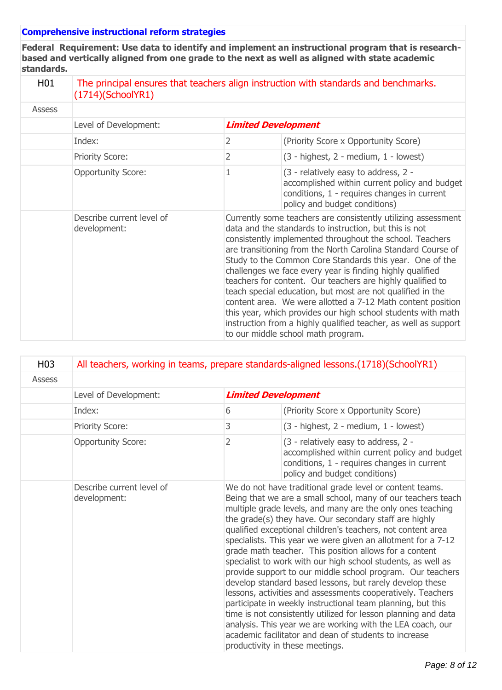#### **Comprehensive instructional reform strategies**

**Federal Requirement: Use data to identify and implement an instructional program that is researchbased and vertically aligned from one grade to the next as well as aligned with state academic standards.**

|  | i<br>Ι |
|--|--------|
|  |        |

# 01  $\blacksquare$  The principal ensures that teachers align instruction with standards and benchmarks. (1714)(SchoolYR1)

| <b>Assess</b> |                                           |                            |                                                                                                                                                                                                                                                                                                                                                                                                                                                                                                                                                                                                                                                                                                                                                  |
|---------------|-------------------------------------------|----------------------------|--------------------------------------------------------------------------------------------------------------------------------------------------------------------------------------------------------------------------------------------------------------------------------------------------------------------------------------------------------------------------------------------------------------------------------------------------------------------------------------------------------------------------------------------------------------------------------------------------------------------------------------------------------------------------------------------------------------------------------------------------|
|               | Level of Development:                     | <b>Limited Development</b> |                                                                                                                                                                                                                                                                                                                                                                                                                                                                                                                                                                                                                                                                                                                                                  |
|               | Index:                                    | 2                          | (Priority Score x Opportunity Score)                                                                                                                                                                                                                                                                                                                                                                                                                                                                                                                                                                                                                                                                                                             |
|               | <b>Priority Score:</b>                    | 2                          | (3 - highest, 2 - medium, 1 - lowest)                                                                                                                                                                                                                                                                                                                                                                                                                                                                                                                                                                                                                                                                                                            |
|               | <b>Opportunity Score:</b>                 |                            | (3 - relatively easy to address, 2 -<br>accomplished within current policy and budget<br>conditions, 1 - requires changes in current<br>policy and budget conditions)                                                                                                                                                                                                                                                                                                                                                                                                                                                                                                                                                                            |
|               | Describe current level of<br>development: |                            | Currently some teachers are consistently utilizing assessment<br>data and the standards to instruction, but this is not<br>consistently implemented throughout the school. Teachers<br>are transitioning from the North Carolina Standard Course of<br>Study to the Common Core Standards this year. One of the<br>challenges we face every year is finding highly qualified<br>teachers for content. Our teachers are highly qualified to<br>teach special education, but most are not qualified in the<br>content area. We were allotted a 7-12 Math content position<br>this year, which provides our high school students with math<br>instruction from a highly qualified teacher, as well as support<br>to our middle school math program. |

| H <sub>0</sub> 3 | All teachers, working in teams, prepare standards-aligned lessons. (1718) (SchoolYR1) |                |                                                                                                                                                                                                                                                                                                                                                                                                                                                                                                                                                                                                                                                                                                                                                                                                                                                                                                                                                                                               |
|------------------|---------------------------------------------------------------------------------------|----------------|-----------------------------------------------------------------------------------------------------------------------------------------------------------------------------------------------------------------------------------------------------------------------------------------------------------------------------------------------------------------------------------------------------------------------------------------------------------------------------------------------------------------------------------------------------------------------------------------------------------------------------------------------------------------------------------------------------------------------------------------------------------------------------------------------------------------------------------------------------------------------------------------------------------------------------------------------------------------------------------------------|
| <b>Assess</b>    |                                                                                       |                |                                                                                                                                                                                                                                                                                                                                                                                                                                                                                                                                                                                                                                                                                                                                                                                                                                                                                                                                                                                               |
|                  | Level of Development:                                                                 |                | <b>Limited Development</b>                                                                                                                                                                                                                                                                                                                                                                                                                                                                                                                                                                                                                                                                                                                                                                                                                                                                                                                                                                    |
|                  | Index:                                                                                | 6              | (Priority Score x Opportunity Score)                                                                                                                                                                                                                                                                                                                                                                                                                                                                                                                                                                                                                                                                                                                                                                                                                                                                                                                                                          |
|                  | Priority Score:                                                                       | 3              | $(3 - highest, 2 - medium, 1 - lowest)$                                                                                                                                                                                                                                                                                                                                                                                                                                                                                                                                                                                                                                                                                                                                                                                                                                                                                                                                                       |
|                  | <b>Opportunity Score:</b>                                                             | $\overline{2}$ | (3 - relatively easy to address, 2 -<br>accomplished within current policy and budget<br>conditions, 1 - requires changes in current<br>policy and budget conditions)                                                                                                                                                                                                                                                                                                                                                                                                                                                                                                                                                                                                                                                                                                                                                                                                                         |
|                  | Describe current level of<br>development:                                             |                | We do not have traditional grade level or content teams.<br>Being that we are a small school, many of our teachers teach<br>multiple grade levels, and many are the only ones teaching<br>the grade(s) they have. Our secondary staff are highly<br>qualified exceptional children's teachers, not content area<br>specialists. This year we were given an allotment for a 7-12<br>grade math teacher. This position allows for a content<br>specialist to work with our high school students, as well as<br>provide support to our middle school program. Our teachers<br>develop standard based lessons, but rarely develop these<br>lessons, activities and assessments cooperatively. Teachers<br>participate in weekly instructional team planning, but this<br>time is not consistently utilized for lesson planning and data<br>analysis. This year we are working with the LEA coach, our<br>academic facilitator and dean of students to increase<br>productivity in these meetings. |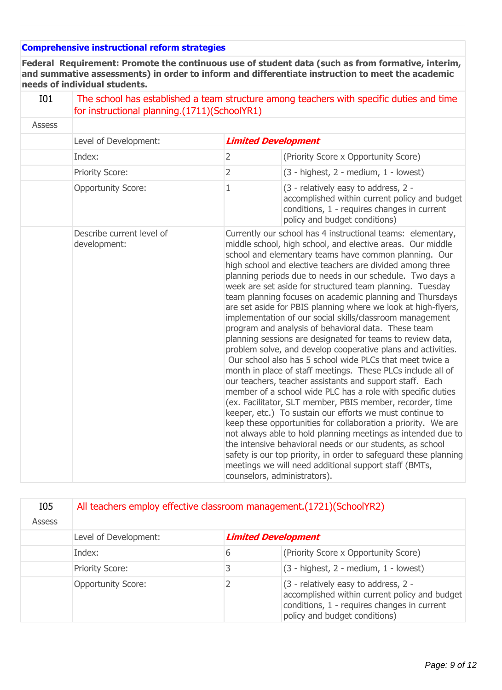# **Comprehensive instructional reform strategies**

**Federal Requirement: Promote the continuous use of student data (such as from formative, interim, and summative assessments) in order to inform and differentiate instruction to meet the academic needs of individual students.**

| I01           | The school has established a team structure among teachers with specific duties and time<br>for instructional planning.(1711)(SchoolYR1) |                |                                                                                                                                                                                                                                                                                                                                                                                                                                                                                                                                                                                                                                                                                                                                                                                                                                                                                                                                                                                                                                                                                                                                                                                                                                                                                                                                                                                                                                                                                                  |
|---------------|------------------------------------------------------------------------------------------------------------------------------------------|----------------|--------------------------------------------------------------------------------------------------------------------------------------------------------------------------------------------------------------------------------------------------------------------------------------------------------------------------------------------------------------------------------------------------------------------------------------------------------------------------------------------------------------------------------------------------------------------------------------------------------------------------------------------------------------------------------------------------------------------------------------------------------------------------------------------------------------------------------------------------------------------------------------------------------------------------------------------------------------------------------------------------------------------------------------------------------------------------------------------------------------------------------------------------------------------------------------------------------------------------------------------------------------------------------------------------------------------------------------------------------------------------------------------------------------------------------------------------------------------------------------------------|
| <b>Assess</b> |                                                                                                                                          |                |                                                                                                                                                                                                                                                                                                                                                                                                                                                                                                                                                                                                                                                                                                                                                                                                                                                                                                                                                                                                                                                                                                                                                                                                                                                                                                                                                                                                                                                                                                  |
|               | Level of Development:                                                                                                                    |                | <b>Limited Development</b>                                                                                                                                                                                                                                                                                                                                                                                                                                                                                                                                                                                                                                                                                                                                                                                                                                                                                                                                                                                                                                                                                                                                                                                                                                                                                                                                                                                                                                                                       |
|               | Index:                                                                                                                                   | $\overline{2}$ | (Priority Score x Opportunity Score)                                                                                                                                                                                                                                                                                                                                                                                                                                                                                                                                                                                                                                                                                                                                                                                                                                                                                                                                                                                                                                                                                                                                                                                                                                                                                                                                                                                                                                                             |
|               | Priority Score:                                                                                                                          | 2              | $(3 - highest, 2 - medium, 1 - lowest)$                                                                                                                                                                                                                                                                                                                                                                                                                                                                                                                                                                                                                                                                                                                                                                                                                                                                                                                                                                                                                                                                                                                                                                                                                                                                                                                                                                                                                                                          |
|               | <b>Opportunity Score:</b>                                                                                                                | $\mathbf{1}$   | (3 - relatively easy to address, 2 -<br>accomplished within current policy and budget<br>conditions, 1 - requires changes in current<br>policy and budget conditions)                                                                                                                                                                                                                                                                                                                                                                                                                                                                                                                                                                                                                                                                                                                                                                                                                                                                                                                                                                                                                                                                                                                                                                                                                                                                                                                            |
|               | Describe current level of<br>development:                                                                                                |                | Currently our school has 4 instructional teams: elementary,<br>middle school, high school, and elective areas. Our middle<br>school and elementary teams have common planning. Our<br>high school and elective teachers are divided among three<br>planning periods due to needs in our schedule. Two days a<br>week are set aside for structured team planning. Tuesday<br>team planning focuses on academic planning and Thursdays<br>are set aside for PBIS planning where we look at high-flyers,<br>implementation of our social skills/classroom management<br>program and analysis of behavioral data. These team<br>planning sessions are designated for teams to review data,<br>problem solve, and develop cooperative plans and activities.<br>Our school also has 5 school wide PLCs that meet twice a<br>month in place of staff meetings. These PLCs include all of<br>our teachers, teacher assistants and support staff. Each<br>member of a school wide PLC has a role with specific duties<br>(ex. Facilitator, SLT member, PBIS member, recorder, time<br>keeper, etc.) To sustain our efforts we must continue to<br>keep these opportunities for collaboration a priority. We are<br>not always able to hold planning meetings as intended due to<br>the intensive behavioral needs or our students, as school<br>safety is our top priority, in order to safeguard these planning<br>meetings we will need additional support staff (BMTs,<br>counselors, administrators). |

| I05           | All teachers employ effective classroom management. (1721) (SchoolYR2) |   |                                                                                                                                                                       |
|---------------|------------------------------------------------------------------------|---|-----------------------------------------------------------------------------------------------------------------------------------------------------------------------|
| <b>Assess</b> |                                                                        |   |                                                                                                                                                                       |
|               | Level of Development:                                                  |   | <b>Limited Development</b>                                                                                                                                            |
|               | Index:                                                                 | 6 | (Priority Score x Opportunity Score)                                                                                                                                  |
|               | <b>Priority Score:</b>                                                 |   | (3 - highest, 2 - medium, 1 - lowest)                                                                                                                                 |
|               | <b>Opportunity Score:</b>                                              |   | (3 - relatively easy to address, 2 -<br>accomplished within current policy and budget<br>conditions, 1 - requires changes in current<br>policy and budget conditions) |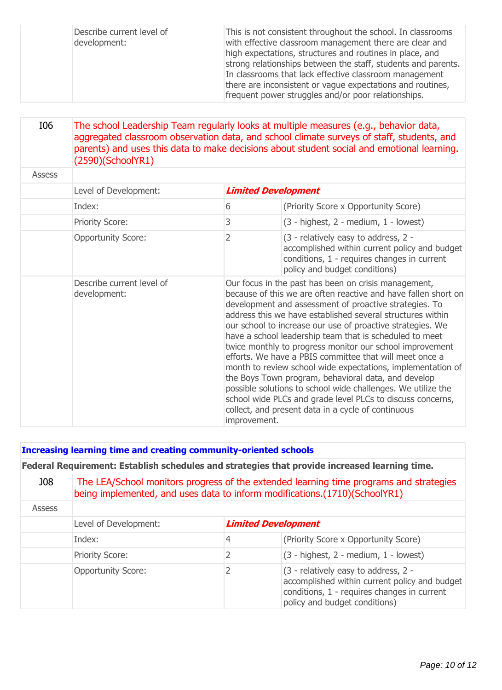| Describe current level of<br>development: | This is not consistent throughout the school. In classrooms<br>with effective classroom management there are clear and<br>high expectations, structures and routines in place, and<br>strong relationships between the staff, students and parents.<br>In classrooms that lack effective classroom management<br>there are inconsistent or vague expectations and routines,<br>frequent power struggles and/or poor relationships. |
|-------------------------------------------|------------------------------------------------------------------------------------------------------------------------------------------------------------------------------------------------------------------------------------------------------------------------------------------------------------------------------------------------------------------------------------------------------------------------------------|
|-------------------------------------------|------------------------------------------------------------------------------------------------------------------------------------------------------------------------------------------------------------------------------------------------------------------------------------------------------------------------------------------------------------------------------------------------------------------------------------|

# I06 The school Leadership Team regularly looks at multiple measures (e.g., behavior data, aggregated classroom observation data, and school climate surveys of staff, students, and parents) and uses this data to make decisions about student social and emotional learning. (2590)(SchoolYR1)

| <b>Assess</b> |                                           |                            |                                                                                                                                                                                                                                                                                                                                                                                                                                                                                                                                                                                                                                                                                                                                                                                                          |
|---------------|-------------------------------------------|----------------------------|----------------------------------------------------------------------------------------------------------------------------------------------------------------------------------------------------------------------------------------------------------------------------------------------------------------------------------------------------------------------------------------------------------------------------------------------------------------------------------------------------------------------------------------------------------------------------------------------------------------------------------------------------------------------------------------------------------------------------------------------------------------------------------------------------------|
|               | Level of Development:                     | <b>Limited Development</b> |                                                                                                                                                                                                                                                                                                                                                                                                                                                                                                                                                                                                                                                                                                                                                                                                          |
|               | Index:                                    | 6                          | (Priority Score x Opportunity Score)                                                                                                                                                                                                                                                                                                                                                                                                                                                                                                                                                                                                                                                                                                                                                                     |
|               | <b>Priority Score:</b>                    | 3                          | $(3 - highest, 2 - medium, 1 - lowest)$                                                                                                                                                                                                                                                                                                                                                                                                                                                                                                                                                                                                                                                                                                                                                                  |
|               | <b>Opportunity Score:</b>                 | 2                          | (3 - relatively easy to address, 2 -<br>accomplished within current policy and budget<br>conditions, 1 - requires changes in current<br>policy and budget conditions)                                                                                                                                                                                                                                                                                                                                                                                                                                                                                                                                                                                                                                    |
|               | Describe current level of<br>development: | improvement.               | Our focus in the past has been on crisis management,<br>because of this we are often reactive and have fallen short on<br>development and assessment of proactive strategies. To<br>address this we have established several structures within<br>our school to increase our use of proactive strategies. We<br>have a school leadership team that is scheduled to meet<br>twice monthly to progress monitor our school improvement<br>efforts. We have a PBIS committee that will meet once a<br>month to review school wide expectations, implementation of<br>the Boys Town program, behavioral data, and develop<br>possible solutions to school wide challenges. We utilize the<br>school wide PLCs and grade level PLCs to discuss concerns,<br>collect, and present data in a cycle of continuous |

### **Increasing learning time and creating community-oriented schools**

**Federal Requirement: Establish schedules and strategies that provide increased learning time.**

| <b>J08</b>    | The LEA/School monitors progress of the extended learning time programs and strategies<br>being implemented, and uses data to inform modifications.(1710)(SchoolYR1) |   |                                                                                                                                                                       |  |  |
|---------------|----------------------------------------------------------------------------------------------------------------------------------------------------------------------|---|-----------------------------------------------------------------------------------------------------------------------------------------------------------------------|--|--|
| <b>Assess</b> |                                                                                                                                                                      |   |                                                                                                                                                                       |  |  |
|               | Level of Development:                                                                                                                                                |   | <b>Limited Development</b>                                                                                                                                            |  |  |
|               | Index:                                                                                                                                                               | 4 | (Priority Score x Opportunity Score)                                                                                                                                  |  |  |
|               | <b>Priority Score:</b>                                                                                                                                               |   | $(3 - highest, 2 - medium, 1 - lowest)$                                                                                                                               |  |  |
|               | <b>Opportunity Score:</b>                                                                                                                                            |   | (3 - relatively easy to address, 2 -<br>accomplished within current policy and budget<br>conditions, 1 - requires changes in current<br>policy and budget conditions) |  |  |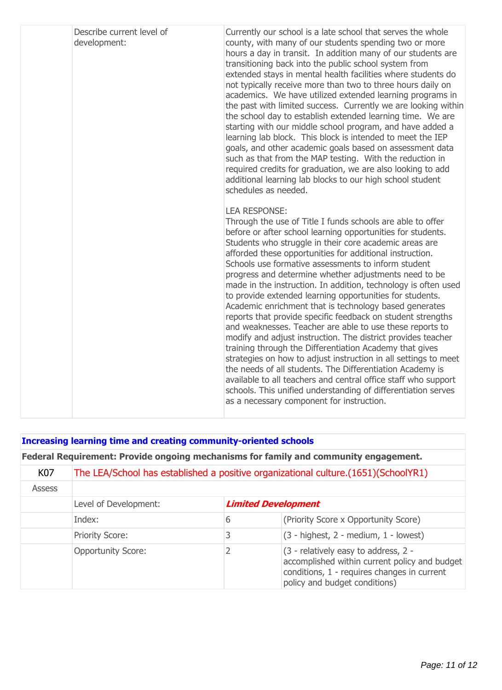| Describe current level of<br>development: | Currently our school is a late school that serves the whole<br>county, with many of our students spending two or more<br>hours a day in transit. In addition many of our students are<br>transitioning back into the public school system from<br>extended stays in mental health facilities where students do<br>not typically receive more than two to three hours daily on<br>academics. We have utilized extended learning programs in<br>the past with limited success. Currently we are looking within<br>the school day to establish extended learning time. We are<br>starting with our middle school program, and have added a<br>learning lab block. This block is intended to meet the IEP<br>goals, and other academic goals based on assessment data<br>such as that from the MAP testing. With the reduction in<br>required credits for graduation, we are also looking to add<br>additional learning lab blocks to our high school student<br>schedules as needed.                                                                                                                                                                     |
|-------------------------------------------|-------------------------------------------------------------------------------------------------------------------------------------------------------------------------------------------------------------------------------------------------------------------------------------------------------------------------------------------------------------------------------------------------------------------------------------------------------------------------------------------------------------------------------------------------------------------------------------------------------------------------------------------------------------------------------------------------------------------------------------------------------------------------------------------------------------------------------------------------------------------------------------------------------------------------------------------------------------------------------------------------------------------------------------------------------------------------------------------------------------------------------------------------------|
|                                           | <b>LEA RESPONSE:</b><br>Through the use of Title I funds schools are able to offer<br>before or after school learning opportunities for students.<br>Students who struggle in their core academic areas are<br>afforded these opportunities for additional instruction.<br>Schools use formative assessments to inform student<br>progress and determine whether adjustments need to be<br>made in the instruction. In addition, technology is often used<br>to provide extended learning opportunities for students.<br>Academic enrichment that is technology based generates<br>reports that provide specific feedback on student strengths<br>and weaknesses. Teacher are able to use these reports to<br>modify and adjust instruction. The district provides teacher<br>training through the Differentiation Academy that gives<br>strategies on how to adjust instruction in all settings to meet<br>the needs of all students. The Differentiation Academy is<br>available to all teachers and central office staff who support<br>schools. This unified understanding of differentiation serves<br>as a necessary component for instruction. |

### **Increasing learning time and creating community-oriented schools**

# **Federal Requirement: Provide ongoing mechanisms for family and community engagement.**

| K07           | The LEA/School has established a positive organizational culture. (1651) (SchoolYR1) |                            |                                                                                                                                                                         |
|---------------|--------------------------------------------------------------------------------------|----------------------------|-------------------------------------------------------------------------------------------------------------------------------------------------------------------------|
| <b>Assess</b> |                                                                                      |                            |                                                                                                                                                                         |
|               | Level of Development:                                                                | <b>Limited Development</b> |                                                                                                                                                                         |
|               | Index:                                                                               | 6                          | (Priority Score x Opportunity Score)                                                                                                                                    |
|               | <b>Priority Score:</b>                                                               |                            | $(3 - highest, 2 - medium, 1 - lowest)$                                                                                                                                 |
|               | <b>Opportunity Score:</b>                                                            |                            | $(3 -$ relatively easy to address, 2 -<br>accomplished within current policy and budget<br>conditions, 1 - requires changes in current<br>policy and budget conditions) |